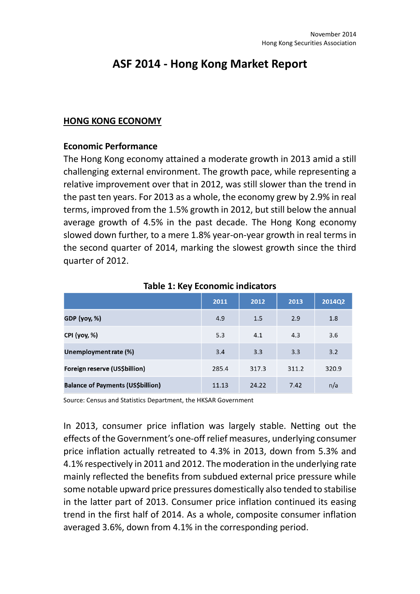# **ASF 2014 - Hong Kong Market Report**

#### **HONG KONG ECONOMY**

#### **Economic Performance**

The Hong Kong economy attained a moderate growth in 2013 amid a still challenging external environment. The growth pace, while representing a relative improvement over that in 2012, was still slower than the trend in the past ten years. For 2013 as a whole, the economy grew by 2.9% in real terms, improved from the 1.5% growth in 2012, but still below the annual average growth of 4.5% in the past decade. The Hong Kong economy slowed down further, to a mere 1.8% year-on-year growth in real terms in the second quarter of 2014, marking the slowest growth since the third quarter of 2012.

|                                          | 2011  | 2012  | 2013  | 2014Q2 |
|------------------------------------------|-------|-------|-------|--------|
| <b>GDP</b> (yoy, %)                      | 4.9   | 1.5   | 2.9   | 1.8    |
| CPI (yoy, %)                             | 5.3   | 4.1   | 4.3   | 3.6    |
| Unemployment rate (%)                    | 3.4   | 3.3   | 3.3   | 3.2    |
| Foreign reserve (US\$billion)            | 285.4 | 317.3 | 311.2 | 320.9  |
| <b>Balance of Payments (US\$billion)</b> | 11.13 | 24.22 | 7.42  | n/a    |

**Table 1: Key Economic indicators**

Source: Census and Statistics Department, the HKSAR Government

In 2013, consumer price inflation was largely stable. Netting out the effects of the Government's one-off relief measures, underlying consumer price inflation actually retreated to 4.3% in 2013, down from 5.3% and 4.1% respectively in 2011 and 2012. The moderation in the underlying rate mainly reflected the benefits from subdued external price pressure while some notable upward price pressures domestically also tended to stabilise in the latter part of 2013. Consumer price inflation continued its easing trend in the first half of 2014. As a whole, composite consumer inflation averaged 3.6%, down from 4.1% in the corresponding period.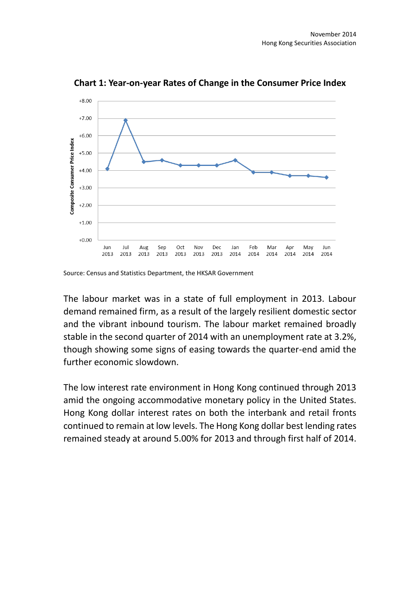

**Chart 1: Year-on-year Rates of Change in the Consumer Price Index**

The labour market was in a state of full employment in 2013. Labour demand remained firm, as a result of the largely resilient domestic sector and the vibrant inbound tourism. The labour market remained broadly stable in the second quarter of 2014 with an unemployment rate at 3.2%, though showing some signs of easing towards the quarter-end amid the further economic slowdown.

The low interest rate environment in Hong Kong continued through 2013 amid the ongoing accommodative monetary policy in the United States. Hong Kong dollar interest rates on both the interbank and retail fronts continued to remain at low levels. The Hong Kong dollar best lending rates remained steady at around 5.00% for 2013 and through first half of 2014.

Source: Census and Statistics Department, the HKSAR Government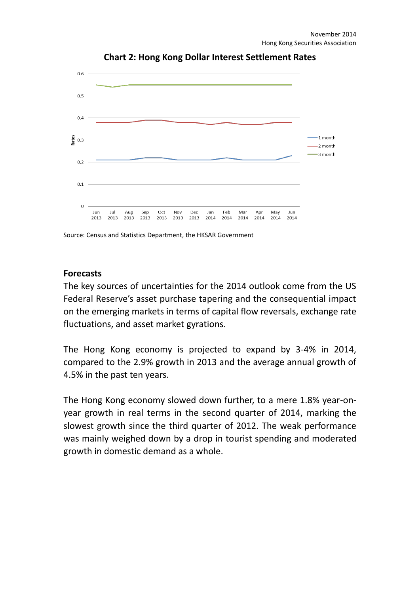

**Chart 2: Hong Kong Dollar Interest Settlement Rates**

Source: Census and Statistics Department, the HKSAR Government

#### **Forecasts**

The key sources of uncertainties for the 2014 outlook come from the US Federal Reserve's asset purchase tapering and the consequential impact on the emerging markets in terms of capital flow reversals, exchange rate fluctuations, and asset market gyrations.

The Hong Kong economy is projected to expand by 3-4% in 2014, compared to the 2.9% growth in 2013 and the average annual growth of 4.5% in the past ten years.

The Hong Kong economy slowed down further, to a mere 1.8% year-onyear growth in real terms in the second quarter of 2014, marking the slowest growth since the third quarter of 2012. The weak performance was mainly weighed down by a drop in tourist spending and moderated growth in domestic demand as a whole.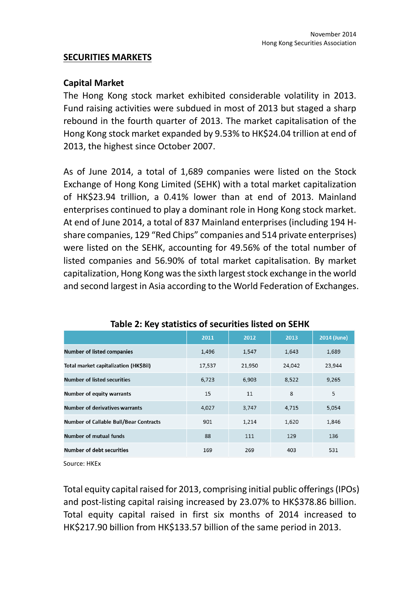#### **SECURITIES MARKETS**

#### **Capital Market**

The Hong Kong stock market exhibited considerable volatility in 2013. Fund raising activities were subdued in most of 2013 but staged a sharp rebound in the fourth quarter of 2013. The market capitalisation of the Hong Kong stock market expanded by 9.53% to HK\$24.04 trillion at end of 2013, the highest since October 2007.

As of June 2014, a total of 1,689 companies were listed on the Stock Exchange of Hong Kong Limited (SEHK) with a total market capitalization of HK\$23.94 trillion, a 0.41% lower than at end of 2013. Mainland enterprises continued to play a dominant role in Hong Kong stock market. At end of June 2014, a total of 837 Mainland enterprises (including 194 Hshare companies, 129 "Red Chips" companies and 514 private enterprises) were listed on the SEHK, accounting for 49.56% of the total number of listed companies and 56.90% of total market capitalisation. By market capitalization, Hong Kong was the sixth largest stock exchange in the world and second largest in Asia according to the World Federation of Exchanges.

| <b>Number of listed companies</b><br>1,547<br>1,643<br>1,496<br>1,689           | 2014 (June) |
|---------------------------------------------------------------------------------|-------------|
|                                                                                 |             |
| Total market capitalization (HK\$Bil)<br>17,537<br>21,950<br>24,042<br>23,944   |             |
| Number of listed securities<br>6,903<br>8,522<br>9,265<br>6.723                 |             |
| 5<br>8<br>15<br>11<br><b>Number of equity warrants</b>                          |             |
| <b>Number of derivatives warrants</b><br>4,027<br>3,747<br>4,715<br>5,054       |             |
| <b>Number of Callable Bull/Bear Contracts</b><br>901<br>1,214<br>1,620<br>1,846 |             |
| <b>Number of mutual funds</b><br>88<br>111<br>129<br>136                        |             |
| Number of debt securities<br>169<br>269<br>531<br>403                           |             |

#### **Table 2: Key statistics of securities listed on SEHK**

Source: HKEx

Total equity capital raised for 2013, comprising initial public offerings(IPOs) and post-listing capital raising increased by 23.07% to HK\$378.86 billion. Total equity capital raised in first six months of 2014 increased to HK\$217.90 billion from HK\$133.57 billion of the same period in 2013.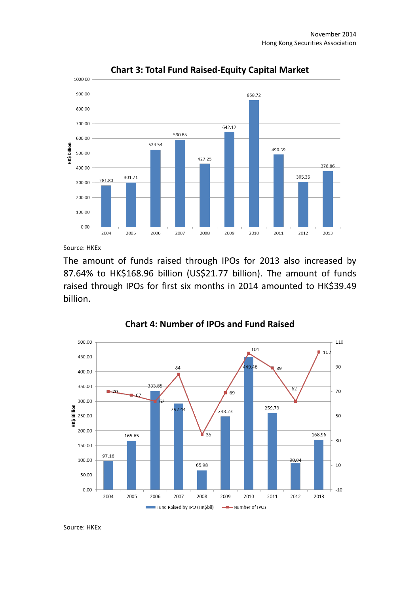

**Chart 3: Total Fund Raised-Equity Capital Market**

Source: HKEx

The amount of funds raised through IPOs for 2013 also increased by 87.64% to HK\$168.96 billion (US\$21.77 billion). The amount of funds raised through IPOs for first six months in 2014 amounted to HK\$39.49 billion.



**Chart 4: Number of IPOs and Fund Raised**

Source: HKEx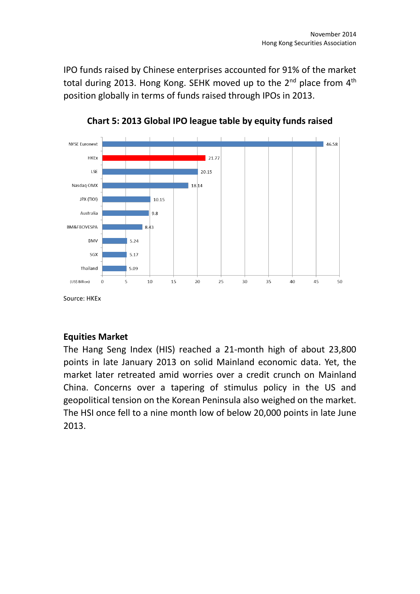IPO funds raised by Chinese enterprises accounted for 91% of the market total during 2013. Hong Kong. SEHK moved up to the  $2^{nd}$  place from  $4^{th}$ position globally in terms of funds raised through IPOs in 2013.



**Chart 5: 2013 Global IPO league table by equity funds raised**

# **Equities Market**

The Hang Seng Index (HIS) reached a 21-month high of about 23,800 points in late January 2013 on solid Mainland economic data. Yet, the market later retreated amid worries over a credit crunch on Mainland China. Concerns over a tapering of stimulus policy in the US and geopolitical tension on the Korean Peninsula also weighed on the market. The HSI once fell to a nine month low of below 20,000 points in late June 2013.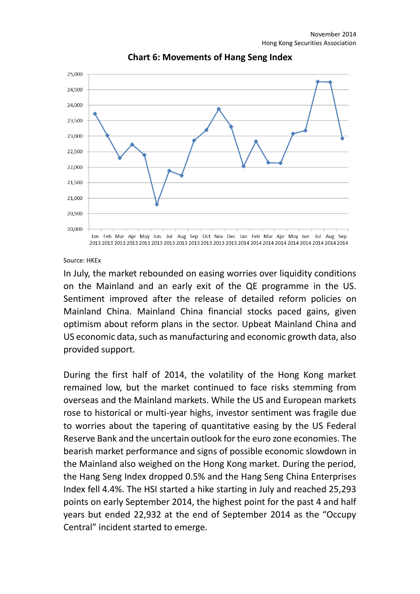

**Chart 6: Movements of Hang Seng Index**

Source: HKEx

In July, the market rebounded on easing worries over liquidity conditions on the Mainland and an early exit of the QE programme in the US. Sentiment improved after the release of detailed reform policies on Mainland China. Mainland China financial stocks paced gains, given optimism about reform plans in the sector. Upbeat Mainland China and US economic data, such as manufacturing and economic growth data, also provided support.

During the first half of 2014, the volatility of the Hong Kong market remained low, but the market continued to face risks stemming from overseas and the Mainland markets. While the US and European markets rose to historical or multi-year highs, investor sentiment was fragile due to worries about the tapering of quantitative easing by the US Federal Reserve Bank and the uncertain outlook for the euro zone economies. The bearish market performance and signs of possible economic slowdown in the Mainland also weighed on the Hong Kong market. During the period, the Hang Seng Index dropped 0.5% and the Hang Seng China Enterprises Index fell 4.4%. The HSI started a hike starting in July and reached 25,293 points on early September 2014, the highest point for the past 4 and half years but ended 22,932 at the end of September 2014 as the "Occupy Central" incident started to emerge.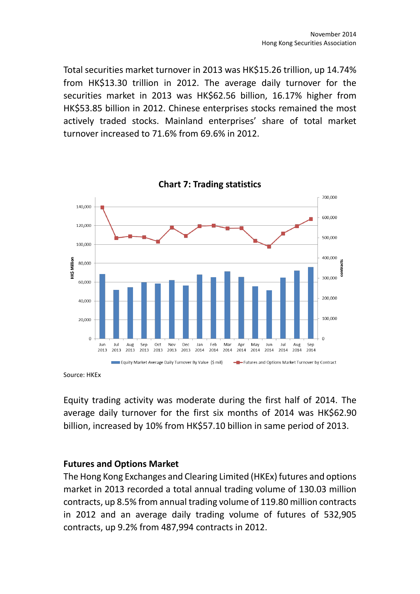Total securities market turnover in 2013 was HK\$15.26 trillion, up 14.74% from HK\$13.30 trillion in 2012. The average daily turnover for the securities market in 2013 was HK\$62.56 billion, 16.17% higher from HK\$53.85 billion in 2012. Chinese enterprises stocks remained the most actively traded stocks. Mainland enterprises' share of total market turnover increased to 71.6% from 69.6% in 2012.



Source: HKEx

Equity trading activity was moderate during the first half of 2014. The average daily turnover for the first six months of 2014 was HK\$62.90 billion, increased by 10% from HK\$57.10 billion in same period of 2013.

#### **Futures and Options Market**

The Hong Kong Exchanges and Clearing Limited (HKEx) futures and options market in 2013 recorded a total annual trading volume of 130.03 million contracts, up 8.5% from annual trading volume of 119.80 million contracts in 2012 and an average daily trading volume of futures of 532,905 contracts, up 9.2% from 487,994 contracts in 2012.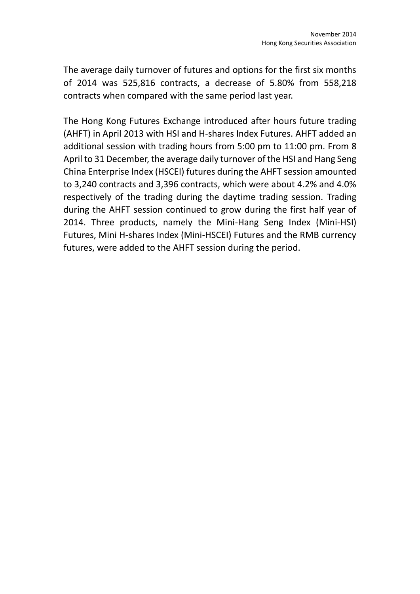The average daily turnover of futures and options for the first six months of 2014 was 525,816 contracts, a decrease of 5.80% from 558,218 contracts when compared with the same period last year.

The Hong Kong Futures Exchange introduced after hours future trading (AHFT) in April 2013 with HSI and H-shares Index Futures. AHFT added an additional session with trading hours from 5:00 pm to 11:00 pm. From 8 April to 31 December, the average daily turnover of the HSI and Hang Seng China Enterprise Index (HSCEI) futures during the AHFT session amounted to 3,240 contracts and 3,396 contracts, which were about 4.2% and 4.0% respectively of the trading during the daytime trading session. Trading during the AHFT session continued to grow during the first half year of 2014. Three products, namely the Mini-Hang Seng Index (Mini-HSI) Futures, Mini H-shares Index (Mini-HSCEI) Futures and the RMB currency futures, were added to the AHFT session during the period.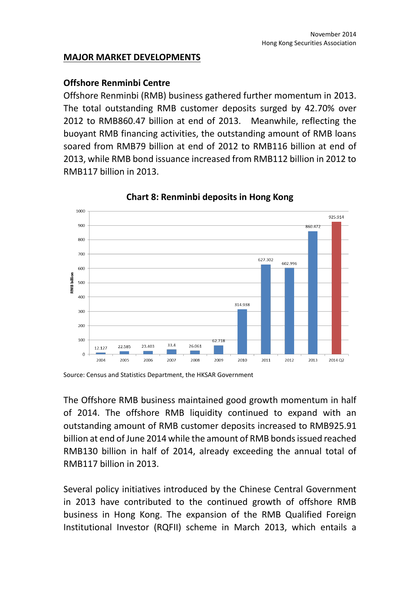#### **MAJOR MARKET DEVELOPMENTS**

## **Offshore Renminbi Centre**

Offshore Renminbi (RMB) business gathered further momentum in 2013. The total outstanding RMB customer deposits surged by 42.70% over 2012 to RMB860.47 billion at end of 2013. Meanwhile, reflecting the buoyant RMB financing activities, the outstanding amount of RMB loans soared from RMB79 billion at end of 2012 to RMB116 billion at end of 2013, while RMB bond issuance increased from RMB112 billion in 2012 to RMB117 billion in 2013.



**Chart 8: Renminbi deposits in Hong Kong**

Source: Census and Statistics Department, the HKSAR Government

The Offshore RMB business maintained good growth momentum in half of 2014. The offshore RMB liquidity continued to expand with an outstanding amount of RMB customer deposits increased to RMB925.91 billion at end of June 2014 while the amount of RMB bonds issued reached RMB130 billion in half of 2014, already exceeding the annual total of RMB117 billion in 2013.

Several policy initiatives introduced by the Chinese Central Government in 2013 have contributed to the continued growth of offshore RMB business in Hong Kong. The expansion of the RMB Qualified Foreign Institutional Investor (RQFII) scheme in March 2013, which entails a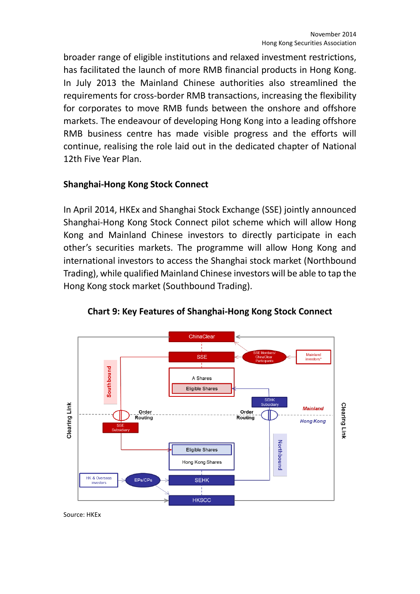broader range of eligible institutions and relaxed investment restrictions, has facilitated the launch of more RMB financial products in Hong Kong. In July 2013 the Mainland Chinese authorities also streamlined the requirements for cross-border RMB transactions, increasing the flexibility for corporates to move RMB funds between the onshore and offshore markets. The endeavour of developing Hong Kong into a leading offshore RMB business centre has made visible progress and the efforts will continue, realising the role laid out in the dedicated chapter of National 12th Five Year Plan.

## **Shanghai-Hong Kong Stock Connect**

In April 2014, HKEx and Shanghai Stock Exchange (SSE) jointly announced Shanghai-Hong Kong Stock Connect pilot scheme which will allow Hong Kong and Mainland Chinese investors to directly participate in each other's securities markets. The programme will allow Hong Kong and international investors to access the Shanghai stock market (Northbound Trading), while qualified Mainland Chinese investors will be able to tap the Hong Kong stock market (Southbound Trading).



**Chart 9: Key Features of Shanghai-Hong Kong Stock Connect**

Source: HKEx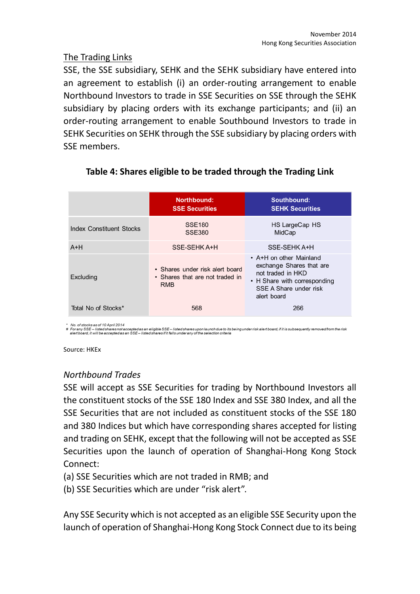# The Trading Links

SSE, the SSE subsidiary, SEHK and the SEHK subsidiary have entered into an agreement to establish (i) an order-routing arrangement to enable Northbound Investors to trade in SSE Securities on SSE through the SEHK subsidiary by placing orders with its exchange participants; and (ii) an order-routing arrangement to enable Southbound Investors to trade in SEHK Securities on SEHK through the SSE subsidiary by placing orders with SSE members.

|                                 | Northbound:<br><b>SSE Securities</b>                                             | Southbound:<br><b>SEHK Securities</b>                                                                                                             |
|---------------------------------|----------------------------------------------------------------------------------|---------------------------------------------------------------------------------------------------------------------------------------------------|
| <b>Index Constituent Stocks</b> | <b>SSE180</b><br><b>SSE380</b>                                                   | HS LargeCap HS<br>MidCap                                                                                                                          |
| $A+H$                           | SSE-SEHK A+H                                                                     | SSE-SEHK A+H                                                                                                                                      |
| Excluding                       | • Shares under risk alert board<br>• Shares that are not traded in<br><b>RMB</b> | • A+H on other Mainland<br>exchange Shares that are<br>not traded in HKD<br>• H Share with corresponding<br>SSE A Share under risk<br>alert board |
| Total No of Stocks*             | 568                                                                              | 266                                                                                                                                               |

## **Table 4: Shares eligible to be traded through the Trading Link**

No. of stocks as of 10 April 2014

\* No. of stocks as of 10 April 2014<br># For any SSE — listed shares not accepted as an eligible SSE— listed shares upon launch due to its being under risk alert board, if it is subsequently removed from the risk<br>alert board,

Source: HKEx

## *Northbound Trades*

SSE will accept as SSE Securities for trading by Northbound Investors all the constituent stocks of the SSE 180 Index and SSE 380 Index, and all the SSE Securities that are not included as constituent stocks of the SSE 180 and 380 Indices but which have corresponding shares accepted for listing and trading on SEHK, except that the following will not be accepted as SSE Securities upon the launch of operation of Shanghai-Hong Kong Stock Connect:

- (a) SSE Securities which are not traded in RMB; and
- (b) SSE Securities which are under "risk alert".

Any SSE Security which is not accepted as an eligible SSE Security upon the launch of operation of Shanghai-Hong Kong Stock Connect due to its being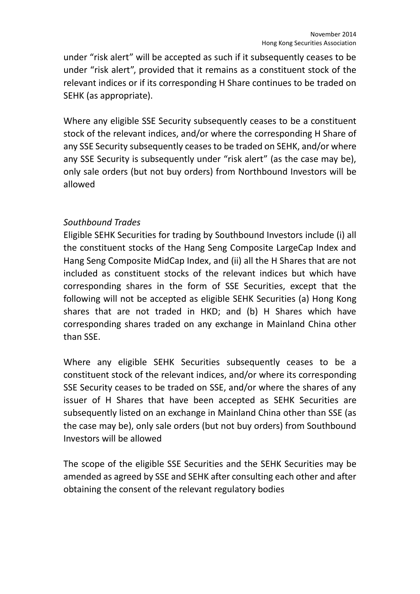under "risk alert" will be accepted as such if it subsequently ceases to be under "risk alert", provided that it remains as a constituent stock of the relevant indices or if its corresponding H Share continues to be traded on SEHK (as appropriate).

Where any eligible SSE Security subsequently ceases to be a constituent stock of the relevant indices, and/or where the corresponding H Share of any SSE Security subsequently ceases to be traded on SEHK, and/or where any SSE Security is subsequently under "risk alert" (as the case may be), only sale orders (but not buy orders) from Northbound Investors will be allowed

## *Southbound Trades*

Eligible SEHK Securities for trading by Southbound Investors include (i) all the constituent stocks of the Hang Seng Composite LargeCap Index and Hang Seng Composite MidCap Index, and (ii) all the H Shares that are not included as constituent stocks of the relevant indices but which have corresponding shares in the form of SSE Securities, except that the following will not be accepted as eligible SEHK Securities (a) Hong Kong shares that are not traded in HKD; and (b) H Shares which have corresponding shares traded on any exchange in Mainland China other than SSE.

Where any eligible SEHK Securities subsequently ceases to be a constituent stock of the relevant indices, and/or where its corresponding SSE Security ceases to be traded on SSE, and/or where the shares of any issuer of H Shares that have been accepted as SEHK Securities are subsequently listed on an exchange in Mainland China other than SSE (as the case may be), only sale orders (but not buy orders) from Southbound Investors will be allowed

The scope of the eligible SSE Securities and the SEHK Securities may be amended as agreed by SSE and SEHK after consulting each other and after obtaining the consent of the relevant regulatory bodies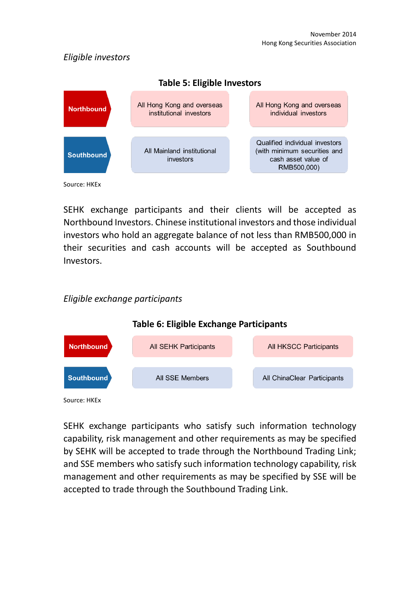# *Eligible investors*



SEHK exchange participants and their clients will be accepted as Northbound Investors. Chinese institutional investors and those individual investors who hold an aggregate balance of not less than RMB500,000 in their securities and cash accounts will be accepted as Southbound Investors.

# *Eligible exchange participants*



Source: HKEx

SEHK exchange participants who satisfy such information technology capability, risk management and other requirements as may be specified by SEHK will be accepted to trade through the Northbound Trading Link; and SSE members who satisfy such information technology capability, risk management and other requirements as may be specified by SSE will be accepted to trade through the Southbound Trading Link.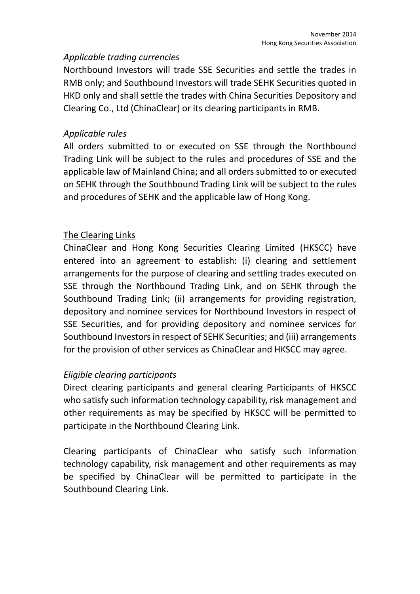## *Applicable trading currencies*

Northbound Investors will trade SSE Securities and settle the trades in RMB only; and Southbound Investors will trade SEHK Securities quoted in HKD only and shall settle the trades with China Securities Depository and Clearing Co., Ltd (ChinaClear) or its clearing participants in RMB.

## *Applicable rules*

All orders submitted to or executed on SSE through the Northbound Trading Link will be subject to the rules and procedures of SSE and the applicable law of Mainland China; and all orders submitted to or executed on SEHK through the Southbound Trading Link will be subject to the rules and procedures of SEHK and the applicable law of Hong Kong.

## The Clearing Links

ChinaClear and Hong Kong Securities Clearing Limited (HKSCC) have entered into an agreement to establish: (i) clearing and settlement arrangements for the purpose of clearing and settling trades executed on SSE through the Northbound Trading Link, and on SEHK through the Southbound Trading Link; (ii) arrangements for providing registration, depository and nominee services for Northbound Investors in respect of SSE Securities, and for providing depository and nominee services for Southbound Investors in respect of SEHK Securities; and (iii) arrangements for the provision of other services as ChinaClear and HKSCC may agree.

# *Eligible clearing participants*

Direct clearing participants and general clearing Participants of HKSCC who satisfy such information technology capability, risk management and other requirements as may be specified by HKSCC will be permitted to participate in the Northbound Clearing Link.

Clearing participants of ChinaClear who satisfy such information technology capability, risk management and other requirements as may be specified by ChinaClear will be permitted to participate in the Southbound Clearing Link.